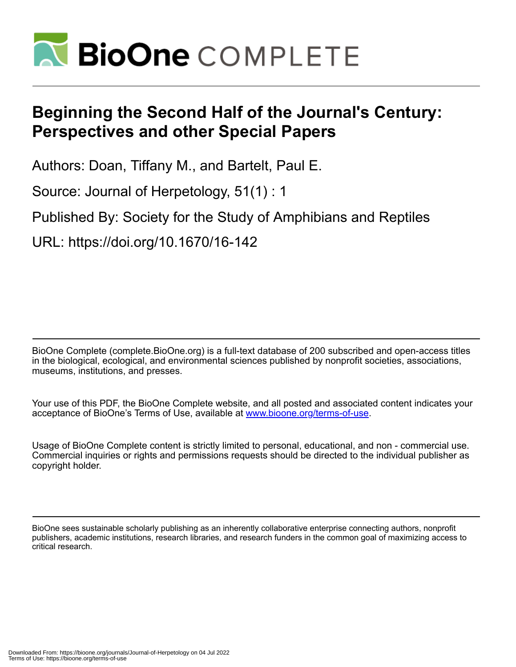

## **Beginning the Second Half of the Journal's Century: Perspectives and other Special Papers**

Authors: Doan, Tiffany M., and Bartelt, Paul E.

Source: Journal of Herpetology, 51(1) : 1

Published By: Society for the Study of Amphibians and Reptiles

URL: https://doi.org/10.1670/16-142

BioOne Complete (complete.BioOne.org) is a full-text database of 200 subscribed and open-access titles in the biological, ecological, and environmental sciences published by nonprofit societies, associations, museums, institutions, and presses.

Your use of this PDF, the BioOne Complete website, and all posted and associated content indicates your acceptance of BioOne's Terms of Use, available at www.bioone.org/terms-of-use.

Usage of BioOne Complete content is strictly limited to personal, educational, and non - commercial use. Commercial inquiries or rights and permissions requests should be directed to the individual publisher as copyright holder.

BioOne sees sustainable scholarly publishing as an inherently collaborative enterprise connecting authors, nonprofit publishers, academic institutions, research libraries, and research funders in the common goal of maximizing access to critical research.